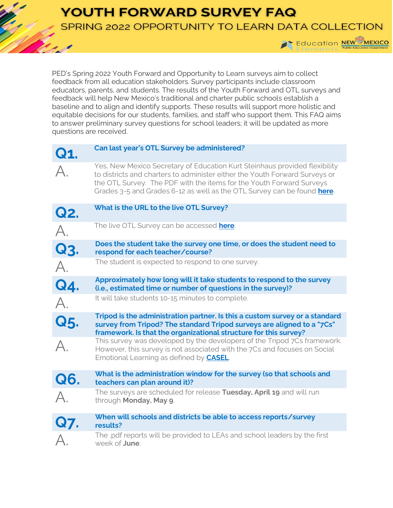**YOUTH FORWARD SURVEY FAQ** 

SPRING 2022 OPPORTUNITY TO LEARN DATA COLLECTION



PED's Spring 2022 Youth Forward and Opportunity to Learn surveys aim to collect feedback from all education stakeholders. Survey participants include classroom educators, parents, and students. The results of the Youth Forward and OTL surveys and feedback will help New Mexico's traditional and charter public schools establish a baseline and to align and identify supports. These results will support more holistic and equitable decisions for our students, families, and staff who support them. This FAQ aims to answer preliminary survey questions for school leaders; it will be updated as more questions are received.

| Q1.              | Can last year's OTL Survey be administered?                                                                                                                                                                                                                                                                  |
|------------------|--------------------------------------------------------------------------------------------------------------------------------------------------------------------------------------------------------------------------------------------------------------------------------------------------------------|
| $\mathsf{A}.$    | Yes, New Mexico Secretary of Education Kurt Steinhaus provided flexibility<br>to districts and charters to administer either the Youth Forward Surveys or<br>the OTL Survey. The PDF with the items for the Youth Forward Surveys<br>Grades 3-5 and Grades 6-12 as well as the OTL Survey can be found here. |
| Q2.              | What is the URL to the live OTL Survey?                                                                                                                                                                                                                                                                      |
| $\overline{A}$ . | The live OTL Survey can be accessed here.                                                                                                                                                                                                                                                                    |
| Q3.              | Does the student take the survey one time, or does the student need to<br>respond for each teacher/course?                                                                                                                                                                                                   |
| A.               | The student is expected to respond to one survey.                                                                                                                                                                                                                                                            |
| Q4.              | Approximately how long will it take students to respond to the survey<br>(i.e., estimated time or number of questions in the survey)?                                                                                                                                                                        |
| $\overline{A}$ . | It will take students 10-15 minutes to complete.                                                                                                                                                                                                                                                             |
| Q5.              | Tripod is the administration partner. Is this a custom survey or a standard<br>survey from Tripod? The standard Tripod surveys are aligned to a "7Cs"<br>framework. Is that the organizational structure for this survey?                                                                                    |
| $\overline{A}$   | This survey was developed by the developers of the Tripod 7Cs framework.<br>However, this survey is not associated with the 7Cs and focuses on Social<br>Emotional Learning as defined by <b>CASEL</b> .                                                                                                     |
| Q6.              | What is the administration window for the survey (so that schools and<br>teachers can plan around it)?                                                                                                                                                                                                       |
| $\mathsf{A}.$    | The surveys are scheduled for release Tuesday, April 19 and will run<br>through Monday, May 9.                                                                                                                                                                                                               |
| Q7.              | When will schools and districts be able to access reports/survey<br>results?                                                                                                                                                                                                                                 |
|                  | The .pdf reports will be provided to LEAs and school leaders by the first<br>week of <b>June</b> .                                                                                                                                                                                                           |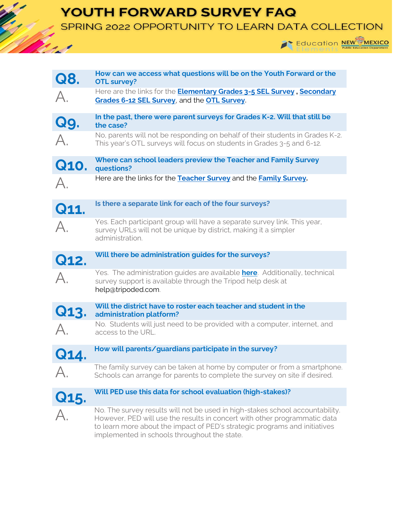## YOUTH FORWARD SURVEY FAQ

SPRING 2022 OPPORTUNITY TO LEARN DATA COLLECTION



| Q8.            | How can we access what questions will be on the Youth Forward or the<br><b>OTL survey?</b>                                                                      |
|----------------|-----------------------------------------------------------------------------------------------------------------------------------------------------------------|
| $\mathsf A$ .  | Here are the links for the <b>Elementary Grades 3-5 SEL Survey, Secondary</b><br>Grades 6-12 SEL Survey, and the OTL Survey.                                    |
| Q9.            | In the past, there were parent surveys for Grades K-2. Will that still be<br>the case?                                                                          |
| А.             | No, parents will not be responding on behalf of their students in Grades K-2.<br>This year's OTL surveys will focus on students in Grades 3-5 and 6-12.         |
| Q10.           | Where can school leaders preview the Teacher and Family Survey<br>questions?                                                                                    |
| $\forall$      | Here are the links for the Teacher Survey and the Family Survey.                                                                                                |
| Q11.           | Is there a separate link for each of the four surveys?                                                                                                          |
| $\mathsf{A}_1$ | Yes. Each participant group will have a separate survey link. This year,<br>survey URLs will not be unique by district, making it a simpler<br>administration.  |
|                | Will there be administration guides for the surveys?                                                                                                            |
| Q12.           |                                                                                                                                                                 |
| А.             | Yes. The administration guides are available here. Additionally, technical<br>survey support is available through the Tripod help desk at<br>help@tripoded.com. |
| Q13.           | Will the district have to roster each teacher and student in the<br>administration platform?                                                                    |
|                | No. Students will just need to be provided with a computer, internet, and<br>access to the URL.                                                                 |
| Q14.           | How will parents/guardians participate in the survey?                                                                                                           |
|                | The family survey can be taken at home by computer or from a smartphone.<br>Schools can arrange for parents to complete the survey on site if desired.          |
| Q15.           | Will PED use this data for school evaluation (high-stakes)?                                                                                                     |